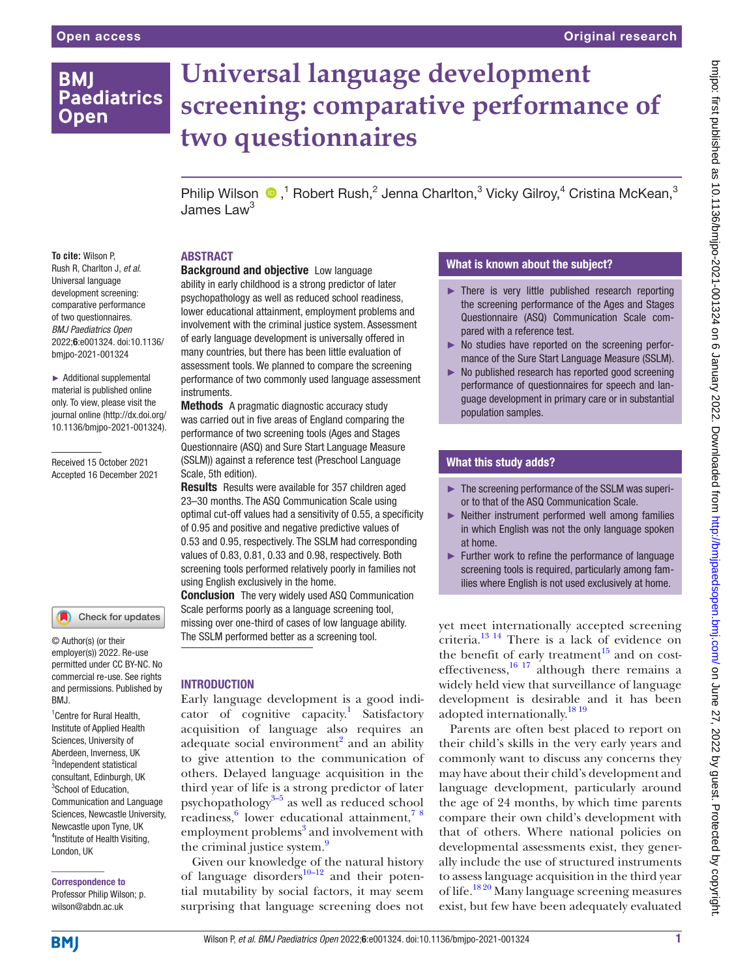**To cite:** Wilson P, Rush R, Charlton J, *et al*. Universal language development screening: comparative performance of two questionnaires. *BMJ Paediatrics Open* 2022;6:e001324. doi:10.1136/ bmjpo-2021-001324

► Additional supplemental material is published online only. To view, please visit the journal online ([http://dx.doi.org/](http://dx.doi.org/10.1136/bmjpo-2021-001324) [10.1136/bmjpo-2021-001324\)](http://dx.doi.org/10.1136/bmjpo-2021-001324).

Received 15 October 2021 Accepted 16 December 2021

<sup>1</sup> Centre for Rural Health, Institute of Applied Health Sciences, University of Aberdeen, Inverness, UK <sup>2</sup>Independent statistical consultant, Edinburgh, UK <sup>3</sup>School of Education, Communication and Language Sciences, Newcastle University, Newcastle upon Tyne, UK 4 Institute of Health Visiting,

© Author(s) (or their employer(s)) 2022. Re-use permitted under CC BY-NC. No commercial re-use. See rights and permissions. Published by

Check for updates

BMJ.

## **BMI Paediatrics Open**

# **Universal language development screening: comparative performance of two questionnaires**

PhilipWilson  $\bullet$ ,<sup>1</sup> Robert Rush,<sup>2</sup> Jenna Charlton,<sup>3</sup> Vicky Gilroy,<sup>4</sup> Cristina McKean,<sup>3</sup> James Law<sup>3</sup>

## ABSTRACT

## Background and objective Low language

ability in early childhood is a strong predictor of later psychopathology as well as reduced school readiness, lower educational attainment, employment problems and involvement with the criminal justice system. Assessment of early language development is universally offered in many countries, but there has been little evaluation of assessment tools. We planned to compare the screening performance of two commonly used language assessment instruments.

Methods A pragmatic diagnostic accuracy study was carried out in five areas of England comparing the performance of two screening tools (Ages and Stages Questionnaire (ASQ) and Sure Start Language Measure (SSLM)) against a reference test (Preschool Language Scale, 5th edition).

Results Results were available for 357 children aged 23–30 months. The ASQ Communication Scale using optimal cut-off values had a sensitivity of 0.55, a specificity of 0.95 and positive and negative predictive values of 0.53 and 0.95, respectively. The SSLM had corresponding values of 0.83, 0.81, 0.33 and 0.98, respectively. Both screening tools performed relatively poorly in families not using English exclusively in the home.

**Conclusion** The very widely used ASQ Communication Scale performs poorly as a language screening tool, missing over one-third of cases of low language ability. The SSLM performed better as a screening tool.

## INTRODUCTION

Early language development is a good indi-cator of cognitive capacity.<sup>[1](#page-6-0)</sup> Satisfactory acquisition of language also requires an adequate social environment<sup>2</sup> and an ability to give attention to the communication of others. Delayed language acquisition in the third year of life is a strong predictor of later psychopathology $3-5$  as well as reduced school readiness,<sup>[6](#page-6-3)</sup> lower educational attainment,<sup>78</sup> employment problems<sup>[3](#page-6-2)</sup> and involvement with the criminal justice system.<sup>[9](#page-6-5)</sup>

Given our knowledge of the natural history of language disorders<sup>10–12</sup> and their potential mutability by social factors, it may seem surprising that language screening does not

## What is known about the subject?

- ► There is very little published research reporting the screening performance of the Ages and Stages Questionnaire (ASQ) Communication Scale compared with a reference test.
- ► No studies have reported on the screening performance of the Sure Start Language Measure (SSLM).
- ► No published research has reported good screening performance of questionnaires for speech and language development in primary care or in substantial population samples.

## What this study adds?

- ► The screening performance of the SSLM was superior to that of the ASQ Communication Scale.
- ► Neither instrument performed well among families in which English was not the only language spoken at home.
- ► Further work to refine the performance of language screening tools is required, particularly among families where English is not used exclusively at home.

yet meet internationally accepted screening criteria[.13 14](#page-6-7) There is a lack of evidence on the benefit of early treatment $^{15}$  and on costeffectiveness, $\frac{16}{17}$  although there remains a widely held view that surveillance of language development is desirable and it has been adopted internationally.<sup>[18 19](#page-6-10)</sup>

Parents are often best placed to report on their child's skills in the very early years and commonly want to discuss any concerns they may have about their child's development and language development, particularly around the age of 24 months, by which time parents compare their own child's development with that of others. Where national policies on developmental assessments exist, they generally include the use of structured instruments to assess language acquisition in the third year of life.[18 20](#page-6-10) Many language screening measures exist, but few have been adequately evaluated

**BMJ** 

London, UK

Correspondence to Professor Philip Wilson; p. wilson@abdn.ac.uk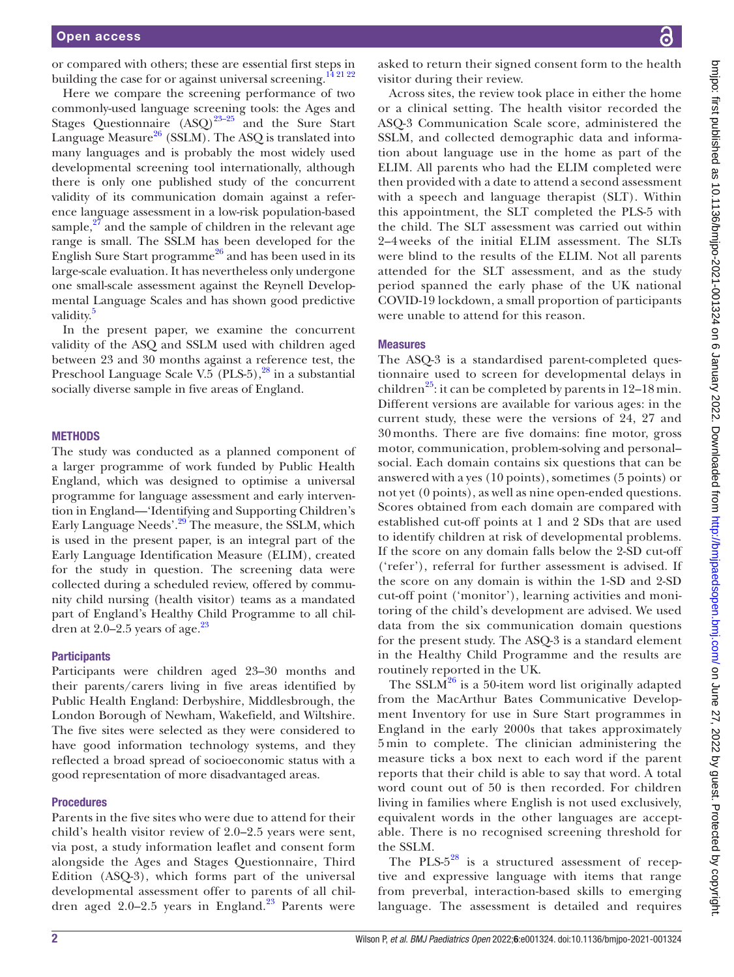or compared with others; these are essential first steps in building the case for or against universal screening.<sup>[14 21 22](#page-6-11)</sup>

Here we compare the screening performance of two commonly-used language screening tools: the Ages and Stages Questionnaire  $(ASQ)^{23-25}$  and the Sure Start Language Measure $^{26}$  $^{26}$  $^{26}$  (SSLM). The ASQ is translated into many languages and is probably the most widely used developmental screening tool internationally, although there is only one published study of the concurrent validity of its communication domain against a reference language assessment in a low-risk population-based sample, $^{27}$  $^{27}$  $^{27}$  and the sample of children in the relevant age range is small. The SSLM has been developed for the English Sure Start programme<sup>[26](#page-7-1)</sup> and has been used in its large-scale evaluation. It has nevertheless only undergone one small-scale assessment against the Reynell Developmental Language Scales and has shown good predictive validity.<sup>[5](#page-6-12)</sup>

In the present paper, we examine the concurrent validity of the ASQ and SSLM used with children aged between 23 and 30 months against a reference test, the Preschool Language Scale V.5 (PLS-5), $^{28}$  $^{28}$  $^{28}$  in a substantial socially diverse sample in five areas of England.

#### METHODS

The study was conducted as a planned component of a larger programme of work funded by Public Health England, which was designed to optimise a universal programme for language assessment and early intervention in England—'Identifying and Supporting Children's Early Language Needs'.<sup>[29](#page-7-4)</sup> The measure, the SSLM, which is used in the present paper, is an integral part of the Early Language Identification Measure (ELIM), created for the study in question. The screening data were collected during a scheduled review, offered by community child nursing (health visitor) teams as a mandated part of England's Healthy Child Programme to all children at  $2.0-2.5$  years of age.<sup>[23](#page-7-0)</sup>

#### **Participants**

Participants were children aged 23–30 months and their parents/carers living in five areas identified by Public Health England: Derbyshire, Middlesbrough, the London Borough of Newham, Wakefield, and Wiltshire. The five sites were selected as they were considered to have good information technology systems, and they reflected a broad spread of socioeconomic status with a good representation of more disadvantaged areas.

#### **Procedures**

Parents in the five sites who were due to attend for their child's health visitor review of 2.0–2.5 years were sent, via post, a study information leaflet and consent form alongside the Ages and Stages Questionnaire, Third Edition (ASQ-3), which forms part of the universal developmental assessment offer to parents of all children aged  $2.0-2.5$  years in England.<sup>[23](#page-7-0)</sup> Parents were

asked to return their signed consent form to the health visitor during their review.

Across sites, the review took place in either the home or a clinical setting. The health visitor recorded the ASQ-3 Communication Scale score, administered the SSLM, and collected demographic data and information about language use in the home as part of the ELIM. All parents who had the ELIM completed were then provided with a date to attend a second assessment with a speech and language therapist (SLT). Within this appointment, the SLT completed the PLS-5 with the child. The SLT assessment was carried out within 2–4weeks of the initial ELIM assessment. The SLTs were blind to the results of the ELIM. Not all parents attended for the SLT assessment, and as the study period spanned the early phase of the UK national COVID-19 lockdown, a small proportion of participants were unable to attend for this reason.

#### Measures

The ASQ-3 is a standardised parent-completed questionnaire used to screen for developmental delays in children<sup>[25](#page-7-5)</sup>: it can be completed by parents in  $12-18$  min. Different versions are available for various ages: in the current study, these were the versions of 24, 27 and 30 months. There are five domains: fine motor, gross motor, communication, problem-solving and personal– social. Each domain contains six questions that can be answered with a yes (10 points), sometimes (5 points) or not yet (0 points), as well as nine open-ended questions. Scores obtained from each domain are compared with established cut-off points at 1 and 2 SDs that are used to identify children at risk of developmental problems. If the score on any domain falls below the 2-SD cut-off ('refer'), referral for further assessment is advised. If the score on any domain is within the 1-SD and 2-SD cut-off point ('monitor'), learning activities and monitoring of the child's development are advised. We used data from the six communication domain questions for the present study. The ASQ-3 is a standard element in the Healthy Child Programme and the results are routinely reported in the UK.

The  $SSLM<sup>26</sup>$  $SSLM<sup>26</sup>$  $SSLM<sup>26</sup>$  is a 50-item word list originally adapted from the MacArthur Bates Communicative Development Inventory for use in Sure Start programmes in England in the early 2000s that takes approximately 5 min to complete. The clinician administering the measure ticks a box next to each word if the parent reports that their child is able to say that word. A total word count out of 50 is then recorded. For children living in families where English is not used exclusively, equivalent words in the other languages are acceptable. There is no recognised screening threshold for the SSLM.

The PLS- $5^{28}$  is a structured assessment of receptive and expressive language with items that range from preverbal, interaction-based skills to emerging language. The assessment is detailed and requires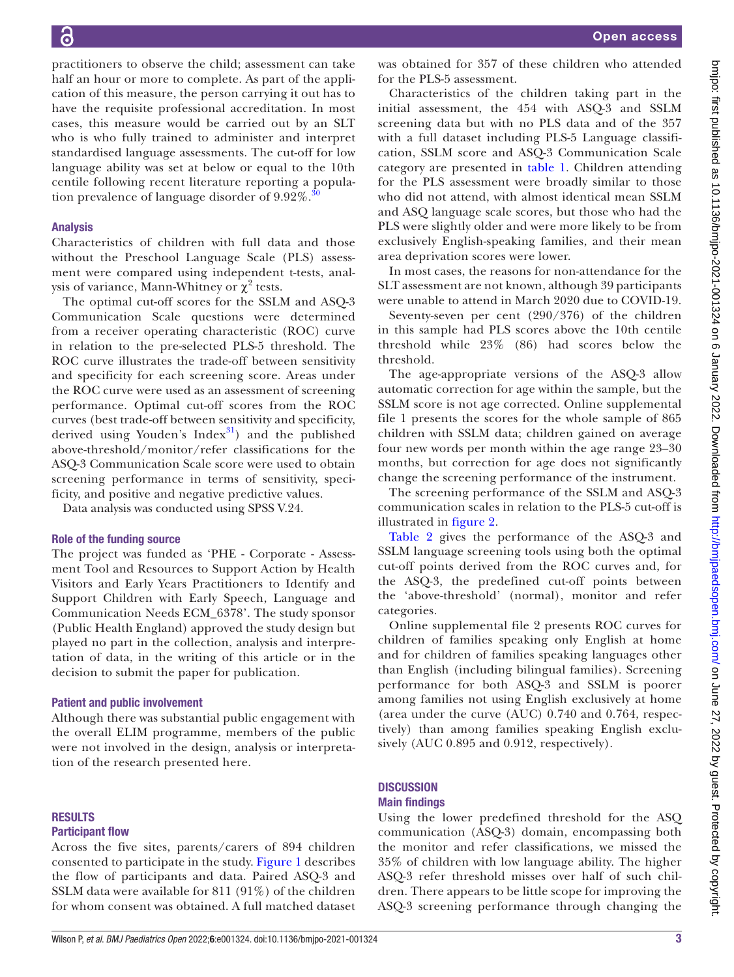practitioners to observe the child; assessment can take half an hour or more to complete. As part of the application of this measure, the person carrying it out has to have the requisite professional accreditation. In most cases, this measure would be carried out by an SLT who is who fully trained to administer and interpret standardised language assessments. The cut-off for low language ability was set at below or equal to the 10th centile following recent literature reporting a population prevalence of language disorder of  $9.92\%$ .

#### Analysis

Characteristics of children with full data and those without the Preschool Language Scale (PLS) assessment were compared using independent t-tests, analysis of variance, Mann-Whitney or  $\chi^2$  tests.

The optimal cut-off scores for the SSLM and ASQ-3 Communication Scale questions were determined from a receiver operating characteristic (ROC) curve in relation to the pre-selected PLS-5 threshold. The ROC curve illustrates the trade-off between sensitivity and specificity for each screening score. Areas under the ROC curve were used as an assessment of screening performance. Optimal cut-off scores from the ROC curves (best trade-off between sensitivity and specificity, derived using Youden's  $Index<sup>31</sup>$  and the published above-threshold/monitor/refer classifications for the ASQ-3 Communication Scale score were used to obtain screening performance in terms of sensitivity, specificity, and positive and negative predictive values.

Data analysis was conducted using SPSS V.24.

#### Role of the funding source

The project was funded as 'PHE - Corporate - Assessment Tool and Resources to Support Action by Health Visitors and Early Years Practitioners to Identify and Support Children with Early Speech, Language and Communication Needs ECM\_6378'. The study sponsor (Public Health England) approved the study design but played no part in the collection, analysis and interpretation of data, in the writing of this article or in the decision to submit the paper for publication.

#### Patient and public involvement

Although there was substantial public engagement with the overall ELIM programme, members of the public were not involved in the design, analysis or interpretation of the research presented here.

## RESULTS

#### Participant flow

Across the five sites, parents/carers of 894 children consented to participate in the study. [Figure](#page-3-0) 1 describes the flow of participants and data. Paired ASQ-3 and SSLM data were available for 811 (91%) of the children for whom consent was obtained. A full matched dataset

was obtained for 357 of these children who attended for the PLS-5 assessment.

Characteristics of the children taking part in the initial assessment, the 454 with ASQ-3 and SSLM screening data but with no PLS data and of the 357 with a full dataset including PLS-5 Language classification, SSLM score and ASQ-3 Communication Scale category are presented in [table](#page-4-0) 1. Children attending for the PLS assessment were broadly similar to those who did not attend, with almost identical mean SSLM and ASQ language scale scores, but those who had the PLS were slightly older and were more likely to be from exclusively English-speaking families, and their mean area deprivation scores were lower.

In most cases, the reasons for non-attendance for the SLT assessment are not known, although 39 participants were unable to attend in March 2020 due to COVID-19.

Seventy-seven per cent (290/376) of the children in this sample had PLS scores above the 10th centile threshold while 23% (86) had scores below the threshold.

The age-appropriate versions of the ASQ-3 allow automatic correction for age within the sample, but the SSLM score is not age corrected. [Online supplemental](https://dx.doi.org/10.1136/bmjpo-2021-001324) [file 1](https://dx.doi.org/10.1136/bmjpo-2021-001324) presents the scores for the whole sample of 865 children with SSLM data; children gained on average four new words per month within the age range 23–30 months, but correction for age does not significantly change the screening performance of the instrument.

The screening performance of the SSLM and ASQ-3 communication scales in relation to the PLS-5 cut-off is illustrated in [figure](#page-4-1) 2.

[Table](#page-5-0) 2 gives the performance of the ASQ-3 and SSLM language screening tools using both the optimal cut-off points derived from the ROC curves and, for the ASQ-3, the predefined cut-off points between the 'above-threshold' (normal), monitor and refer categories.

[Online supplemental file 2](https://dx.doi.org/10.1136/bmjpo-2021-001324) presents ROC curves for children of families speaking only English at home and for children of families speaking languages other than English (including bilingual families). Screening performance for both ASQ-3 and SSLM is poorer among families not using English exclusively at home (area under the curve (AUC) 0.740 and 0.764, respectively) than among families speaking English exclusively (AUC 0.895 and 0.912, respectively).

## **DISCUSSION**

#### Main findings

Using the lower predefined threshold for the ASQ communication (ASQ-3) domain, encompassing both the monitor and refer classifications, we missed the 35% of children with low language ability. The higher ASQ-3 refer threshold misses over half of such children. There appears to be little scope for improving the ASQ-3 screening performance through changing the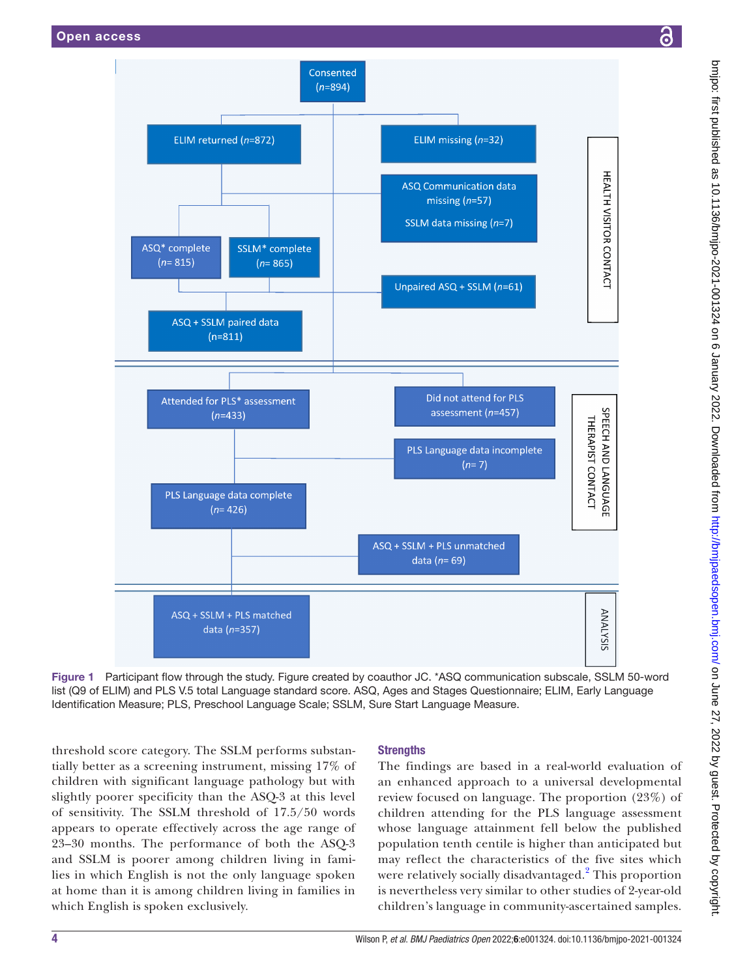

<span id="page-3-0"></span>Figure 1 Participant flow through the study. Figure created by coauthor JC. \*ASQ communication subscale, SSLM 50-word list (Q9 of ELIM) and PLS V.5 total Language standard score. ASQ, Ages and Stages Questionnaire; ELIM, Early Language Identification Measure; PLS, Preschool Language Scale; SSLM, Sure Start Language Measure.

threshold score category. The SSLM performs substantially better as a screening instrument, missing 17% of children with significant language pathology but with slightly poorer specificity than the ASQ-3 at this level of sensitivity. The SSLM threshold of 17.5/50 words appears to operate effectively across the age range of 23–30 months. The performance of both the ASQ-3 and SSLM is poorer among children living in families in which English is not the only language spoken at home than it is among children living in families in which English is spoken exclusively.

## **Strengths**

The findings are based in a real-world evaluation of an enhanced approach to a universal developmental review focused on language. The proportion (23%) of children attending for the PLS language assessment whose language attainment fell below the published population tenth centile is higher than anticipated but may reflect the characteristics of the five sites which were relatively socially disadvantaged.<sup>[2](#page-6-1)</sup> This proportion is nevertheless very similar to other studies of 2-year-old children's language in community-ascertained samples.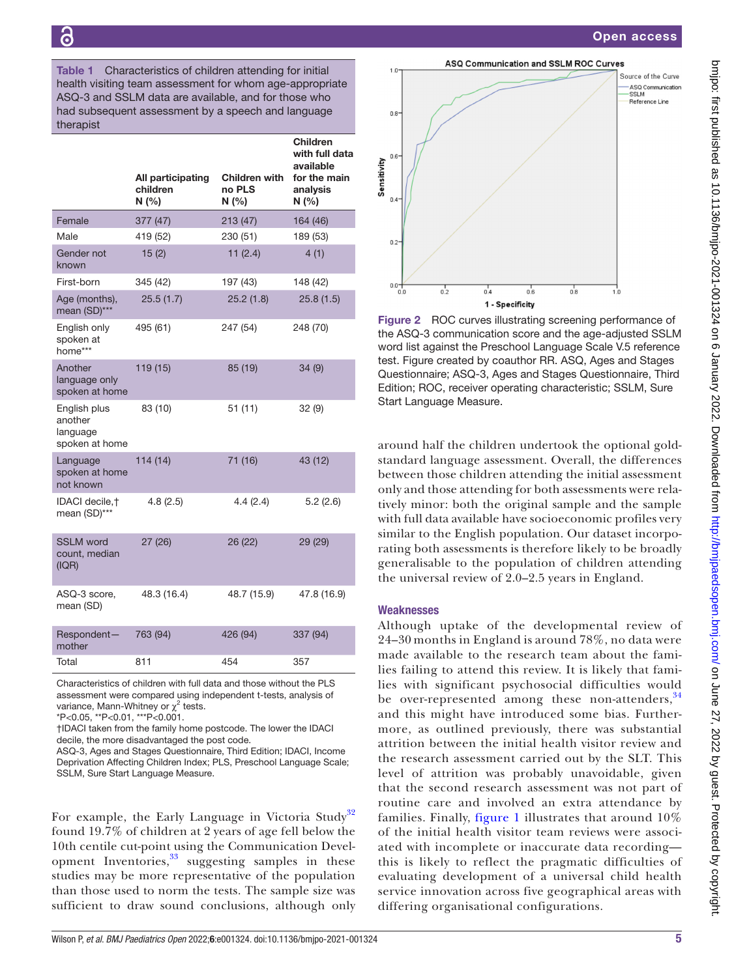Open access

<span id="page-4-0"></span>Table 1 Characteristics of children attending for initial health visiting team assessment for whom age-appropriate ASQ-3 and SSLM data are available, and for those who had subsequent assessment by a speech and language therapist

|                                                       | All participating<br>children<br>N(% | Children with<br>no PLS<br>N(% | Children<br>with full data<br>available<br>for the main<br>analysis<br>N(% |
|-------------------------------------------------------|--------------------------------------|--------------------------------|----------------------------------------------------------------------------|
| Female                                                | 377 (47)                             | 213 (47)                       | 164 (46)                                                                   |
| Male                                                  | 419 (52)                             | 230 (51)                       | 189 (53)                                                                   |
| Gender not<br>known                                   | 15(2)                                | 11(2.4)                        | 4(1)                                                                       |
| First-born                                            | 345 (42)                             | 197 (43)                       | 148 (42)                                                                   |
| Age (months),<br>mean (SD)***                         | 25.5(1.7)                            | 25.2(1.8)                      | 25.8(1.5)                                                                  |
| English only<br>spoken at<br>home***                  | 495 (61)                             | 247 (54)                       | 248 (70)                                                                   |
| Another<br>language only<br>spoken at home            | 119 (15)                             | 85 (19)                        | 34(9)                                                                      |
| English plus<br>another<br>language<br>spoken at home | 83 (10)                              | 51(11)                         | 32(9)                                                                      |
| Language<br>spoken at home<br>not known               | 114(14)                              | 71 (16)                        | 43 (12)                                                                    |
| IDACI decile, †<br>mean (SD)***                       | 4.8(2.5)                             | 4.4(2.4)                       | 5.2(2.6)                                                                   |
| <b>SSLM</b> word<br>count, median<br>(IQR)            | 27 (26)                              | 26 (22)                        | 29 (29)                                                                    |
| ASQ-3 score,<br>mean (SD)                             | 48.3 (16.4)                          | 48.7 (15.9)                    | 47.8 (16.9)                                                                |
| Respondent-<br>mother                                 | 763 (94)                             | 426 (94)                       | 337 (94)                                                                   |
| Total                                                 | 811                                  | 454                            | 357                                                                        |
|                                                       |                                      |                                |                                                                            |

Characteristics of children with full data and those without the PLS assessment were compared using independent t-tests, analysis of variance, Mann-Whitney or  $\chi^2$  tests.

\*P<0.05, \*\*P<0.01, \*\*\*P<0.001.

†IDACI taken from the family home postcode. The lower the IDACI decile, the more disadvantaged the post code.

ASQ-3, Ages and Stages Questionnaire, Third Edition; IDACI, Income Deprivation Affecting Children Index; PLS, Preschool Language Scale; SSLM, Sure Start Language Measure.

For example, the Early Language in Victoria Study<sup>[32](#page-7-8)</sup> found 19.7% of children at 2 years of age fell below the 10th centile cut-point using the Communication Development Inventories, $33$  suggesting samples in these studies may be more representative of the population than those used to norm the tests. The sample size was sufficient to draw sound conclusions, although only



<span id="page-4-1"></span>Figure 2 ROC curves illustrating screening performance of the ASQ-3 communication score and the age-adjusted SSLM word list against the Preschool Language Scale V.5 reference test. Figure created by coauthor RR. ASQ, Ages and Stages Questionnaire; ASQ-3, Ages and Stages Questionnaire, Third Edition; ROC, receiver operating characteristic; SSLM, Sure Start Language Measure.

around half the children undertook the optional goldstandard language assessment. Overall, the differences between those children attending the initial assessment only and those attending for both assessments were relatively minor: both the original sample and the sample with full data available have socioeconomic profiles very similar to the English population. Our dataset incorporating both assessments is therefore likely to be broadly generalisable to the population of children attending the universal review of 2.0–2.5 years in England.

### **Weaknesses**

Although uptake of the developmental review of 24–30 months in England is around 78%, no data were made available to the research team about the families failing to attend this review. It is likely that families with significant psychosocial difficulties would be over-represented among these non-attenders, <sup>[34](#page-7-10)</sup> and this might have introduced some bias. Furthermore, as outlined previously, there was substantial attrition between the initial health visitor review and the research assessment carried out by the SLT. This level of attrition was probably unavoidable, given that the second research assessment was not part of routine care and involved an extra attendance by families. Finally, [figure](#page-3-0) 1 illustrates that around  $10\%$ of the initial health visitor team reviews were associated with incomplete or inaccurate data recording this is likely to reflect the pragmatic difficulties of evaluating development of a universal child health service innovation across five geographical areas with differing organisational configurations.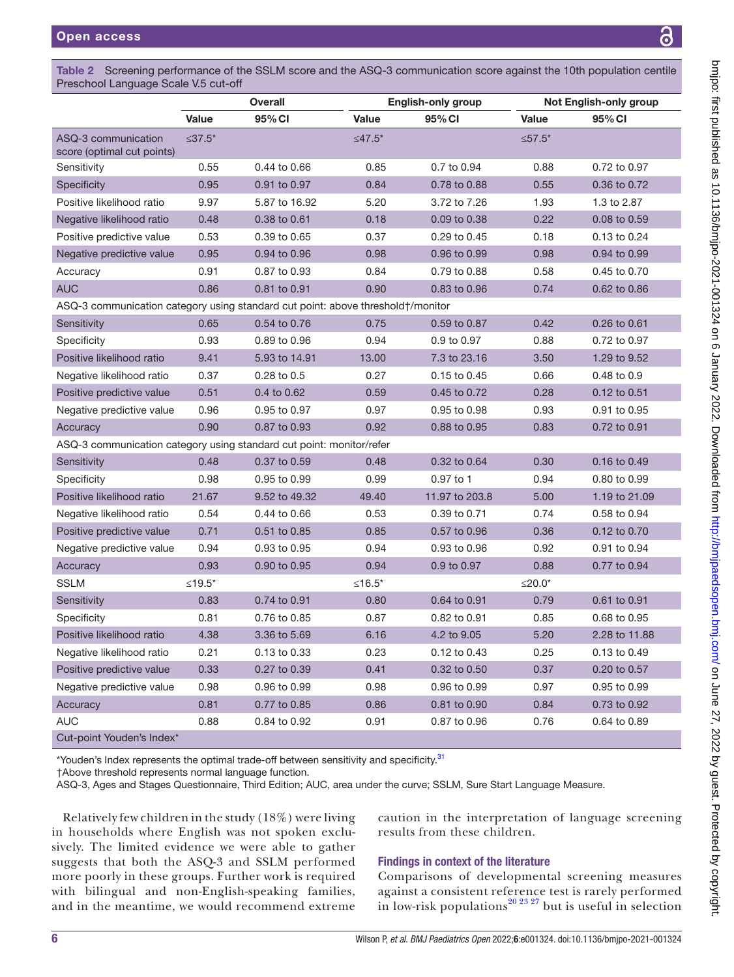<span id="page-5-0"></span>

|                                                                                 | <b>Overall</b> |               | <b>English-only group</b> |                | Not English-only group |               |
|---------------------------------------------------------------------------------|----------------|---------------|---------------------------|----------------|------------------------|---------------|
|                                                                                 | Value          | 95% CI        | Value                     | 95% CI         | Value                  | 95% CI        |
| ASQ-3 communication<br>score (optimal cut points)                               | $≤37.5*$       |               | ≤47.5 <sup>*</sup>        |                | ≤ $57.5*$              |               |
| Sensitivity                                                                     | 0.55           | 0.44 to 0.66  | 0.85                      | 0.7 to 0.94    | 0.88                   | 0.72 to 0.97  |
| Specificity                                                                     | 0.95           | 0.91 to 0.97  | 0.84                      | 0.78 to 0.88   | 0.55                   | 0.36 to 0.72  |
| Positive likelihood ratio                                                       | 9.97           | 5.87 to 16.92 | 5.20                      | 3.72 to 7.26   | 1.93                   | 1.3 to 2.87   |
| Negative likelihood ratio                                                       | 0.48           | 0.38 to 0.61  | 0.18                      | 0.09 to 0.38   | 0.22                   | 0.08 to 0.59  |
| Positive predictive value                                                       | 0.53           | 0.39 to 0.65  | 0.37                      | 0.29 to 0.45   | 0.18                   | 0.13 to 0.24  |
| Negative predictive value                                                       | 0.95           | 0.94 to 0.96  | 0.98                      | 0.96 to 0.99   | 0.98                   | 0.94 to 0.99  |
| Accuracy                                                                        | 0.91           | 0.87 to 0.93  | 0.84                      | 0.79 to 0.88   | 0.58                   | 0.45 to 0.70  |
| <b>AUC</b>                                                                      | 0.86           | 0.81 to 0.91  | 0.90                      | 0.83 to 0.96   | 0.74                   | 0.62 to 0.86  |
| ASQ-3 communication category using standard cut point: above threshold†/monitor |                |               |                           |                |                        |               |
| Sensitivity                                                                     | 0.65           | 0.54 to 0.76  | 0.75                      | 0.59 to 0.87   | 0.42                   | 0.26 to 0.61  |
| Specificity                                                                     | 0.93           | 0.89 to 0.96  | 0.94                      | 0.9 to 0.97    | 0.88                   | 0.72 to 0.97  |
| Positive likelihood ratio                                                       | 9.41           | 5.93 to 14.91 | 13.00                     | 7.3 to 23.16   | 3.50                   | 1.29 to 9.52  |
| Negative likelihood ratio                                                       | 0.37           | 0.28 to 0.5   | 0.27                      | 0.15 to 0.45   | 0.66                   | 0.48 to 0.9   |
| Positive predictive value                                                       | 0.51           | 0.4 to 0.62   | 0.59                      | 0.45 to 0.72   | 0.28                   | 0.12 to 0.51  |
| Negative predictive value                                                       | 0.96           | 0.95 to 0.97  | 0.97                      | 0.95 to 0.98   | 0.93                   | 0.91 to 0.95  |
| Accuracy                                                                        | 0.90           | 0.87 to 0.93  | 0.92                      | 0.88 to 0.95   | 0.83                   | 0.72 to 0.91  |
| ASQ-3 communication category using standard cut point: monitor/refer            |                |               |                           |                |                        |               |
| Sensitivity                                                                     | 0.48           | 0.37 to 0.59  | 0.48                      | 0.32 to 0.64   | 0.30                   | 0.16 to 0.49  |
| Specificity                                                                     | 0.98           | 0.95 to 0.99  | 0.99                      | 0.97 to 1      | 0.94                   | 0.80 to 0.99  |
| Positive likelihood ratio                                                       | 21.67          | 9.52 to 49.32 | 49.40                     | 11.97 to 203.8 | 5.00                   | 1.19 to 21.09 |
| Negative likelihood ratio                                                       | 0.54           | 0.44 to 0.66  | 0.53                      | 0.39 to 0.71   | 0.74                   | 0.58 to 0.94  |
| Positive predictive value                                                       | 0.71           | 0.51 to 0.85  | 0.85                      | 0.57 to 0.96   | 0.36                   | 0.12 to 0.70  |
| Negative predictive value                                                       | 0.94           | 0.93 to 0.95  | 0.94                      | 0.93 to 0.96   | 0.92                   | 0.91 to 0.94  |
| Accuracy                                                                        | 0.93           | 0.90 to 0.95  | 0.94                      | 0.9 to 0.97    | 0.88                   | 0.77 to 0.94  |
| <b>SSLM</b>                                                                     | $≤19.5*$       |               | $≤16.5*$                  |                | $≤20.0*$               |               |
| Sensitivity                                                                     | 0.83           | 0.74 to 0.91  | 0.80                      | 0.64 to 0.91   | 0.79                   | 0.61 to 0.91  |
| Specificity                                                                     | 0.81           | 0.76 to 0.85  | 0.87                      | 0.82 to 0.91   | 0.85                   | 0.68 to 0.95  |
| Positive likelihood ratio                                                       | 4.38           | 3.36 to 5.69  | 6.16                      | 4.2 to 9.05    | 5.20                   | 2.28 to 11.88 |
| Negative likelihood ratio                                                       | 0.21           | 0.13 to 0.33  | 0.23                      | 0.12 to 0.43   | 0.25                   | 0.13 to 0.49  |
| Positive predictive value                                                       | 0.33           | 0.27 to 0.39  | 0.41                      | 0.32 to 0.50   | 0.37                   | 0.20 to 0.57  |
| Negative predictive value                                                       | 0.98           | 0.96 to 0.99  | 0.98                      | 0.96 to 0.99   | 0.97                   | 0.95 to 0.99  |
|                                                                                 |                |               |                           |                |                        |               |
| Accuracy                                                                        | 0.81           | 0.77 to 0.85  | 0.86                      | 0.81 to 0.90   | 0.84                   | 0.73 to 0.92  |

Cut-point Youden's Index\*

\*Youden's Index represents the optimal trade-off between sensitivity and specificity.<sup>31</sup>

†Above threshold represents normal language function.

ASQ-3, Ages and Stages Questionnaire, Third Edition; AUC, area under the curve; SSLM, Sure Start Language Measure.

Relatively few children in the study (18%) were living in households where English was not spoken exclusively. The limited evidence we were able to gather suggests that both the ASQ-3 and SSLM performed more poorly in these groups. Further work is required with bilingual and non-English-speaking families, and in the meantime, we would recommend extreme

caution in the interpretation of language screening results from these children.

## Findings in context of the literature

Comparisons of developmental screening measures against a consistent reference test is rarely performed in low-risk populations<sup>[20 23 27](#page-6-13)</sup> but is useful in selection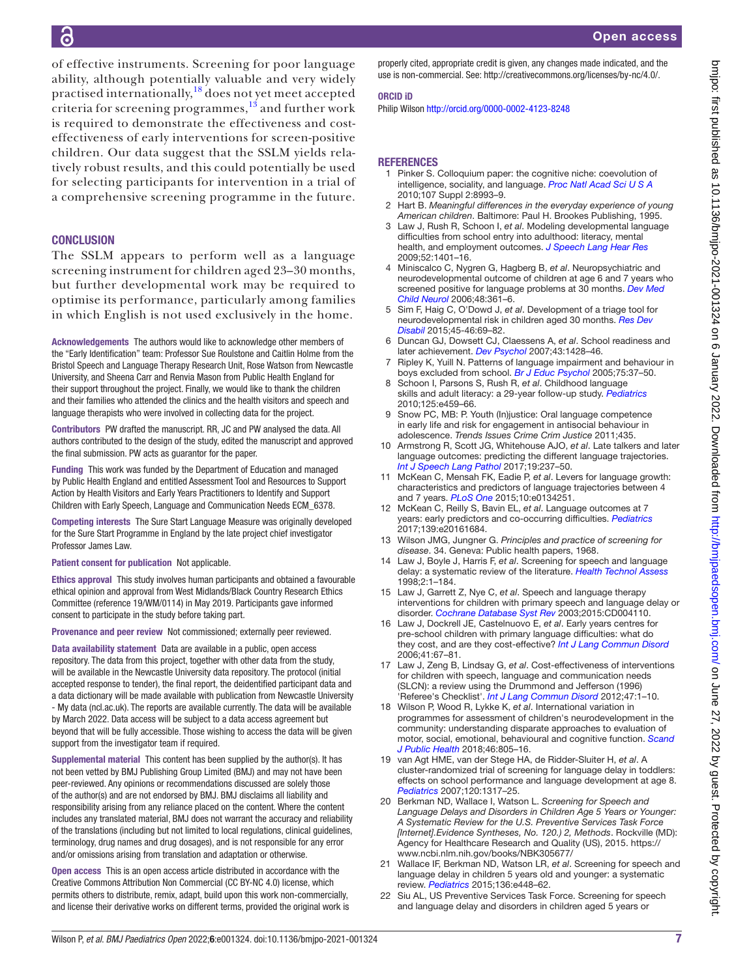of effective instruments. Screening for poor language ability, although potentially valuable and very widely practised internationally,[18](#page-6-10) does not yet meet accepted criteria for screening programmes, $13$  and further work is required to demonstrate the effectiveness and costeffectiveness of early interventions for screen-positive children. Our data suggest that the SSLM yields relatively robust results, and this could potentially be used for selecting participants for intervention in a trial of a comprehensive screening programme in the future.

#### **CONCLUSION**

The SSLM appears to perform well as a language screening instrument for children aged 23–30 months, but further developmental work may be required to optimise its performance, particularly among families in which English is not used exclusively in the home.

Acknowledgements The authors would like to acknowledge other members of the "Early Identification" team: Professor Sue Roulstone and Caitlin Holme from the Bristol Speech and Language Therapy Research Unit, Rose Watson from Newcastle University, and Sheena Carr and Renvia Mason from Public Health England for their support throughout the project. Finally, we would like to thank the children and their families who attended the clinics and the health visitors and speech and language therapists who were involved in collecting data for the project.

Contributors PW drafted the manuscript. RR, JC and PW analysed the data. All authors contributed to the design of the study, edited the manuscript and approved the final submission. PW acts as guarantor for the paper.

Funding This work was funded by the Department of Education and managed by Public Health England and entitled Assessment Tool and Resources to Support Action by Health Visitors and Early Years Practitioners to Identify and Support Children with Early Speech, Language and Communication Needs ECM\_6378.

Competing interests The Sure Start Language Measure was originally developed for the Sure Start Programme in England by the late project chief investigator Professor James Law.

Patient consent for publication Not applicable.

Ethics approval This study involves human participants and obtained a favourable ethical opinion and approval from West Midlands/Black Country Research Ethics Committee (reference 19/WM/0114) in May 2019. Participants gave informed consent to participate in the study before taking part.

Provenance and peer review Not commissioned; externally peer reviewed.

Data availability statement Data are available in a public, open access repository. The data from this project, together with other data from the study, will be available in the Newcastle University data repository. The protocol (initial accepted response to tender), the final report, the deidentified participant data and a data dictionary will be made available with publication from Newcastle University - My data (ncl.ac.uk). The reports are available currently. The data will be available by March 2022. Data access will be subject to a data access agreement but beyond that will be fully accessible. Those wishing to access the data will be given support from the investigator team if required.

Supplemental material This content has been supplied by the author(s). It has not been vetted by BMJ Publishing Group Limited (BMJ) and may not have been peer-reviewed. Any opinions or recommendations discussed are solely those of the author(s) and are not endorsed by BMJ. BMJ disclaims all liability and responsibility arising from any reliance placed on the content. Where the content includes any translated material, BMJ does not warrant the accuracy and reliability of the translations (including but not limited to local regulations, clinical guidelines, terminology, drug names and drug dosages), and is not responsible for any error and/or omissions arising from translation and adaptation or otherwise.

Open access This is an open access article distributed in accordance with the Creative Commons Attribution Non Commercial (CC BY-NC 4.0) license, which permits others to distribute, remix, adapt, build upon this work non-commercially, and license their derivative works on different terms, provided the original work is properly cited, appropriate credit is given, any changes made indicated, and the use is non-commercial. See: <http://creativecommons.org/licenses/by-nc/4.0/>.

#### ORCID iD

Philip Wilson<http://orcid.org/0000-0002-4123-8248>

#### REFERENCES

- <span id="page-6-0"></span>1 Pinker S. Colloquium paper: the cognitive niche: coevolution of intelligence, sociality, and language. *[Proc Natl Acad Sci U S A](http://dx.doi.org/10.1073/pnas.0914630107)* 2010;107 Suppl 2:8993–9.
- <span id="page-6-1"></span>2 Hart B. *Meaningful differences in the everyday experience of young American children*. Baltimore: Paul H. Brookes Publishing, 1995.
- <span id="page-6-2"></span>3 Law J, Rush R, Schoon I, *et al*. Modeling developmental language difficulties from school entry into adulthood: literacy, mental health, and employment outcomes. *[J Speech Lang Hear Res](http://dx.doi.org/10.1044/1092-4388(2009/08-0142)* 2009;52:1401–16.
- 4 Miniscalco C, Nygren G, Hagberg B, *et al*. Neuropsychiatric and neurodevelopmental outcome of children at age 6 and 7 years who screened positive for language problems at 30 months. *[Dev Med](http://dx.doi.org/10.1017/S0012162206000788)  [Child Neurol](http://dx.doi.org/10.1017/S0012162206000788)* 2006;48:361–6.
- <span id="page-6-12"></span>5 Sim F, Haig C, O'Dowd J, *et al*. Development of a triage tool for neurodevelopmental risk in children aged 30 months. *[Res Dev](http://dx.doi.org/10.1016/j.ridd.2015.07.017)  [Disabil](http://dx.doi.org/10.1016/j.ridd.2015.07.017)* 2015;45-46:69–82.
- <span id="page-6-3"></span>6 Duncan GJ, Dowsett CJ, Claessens A, *et al*. School readiness and later achievement. *[Dev Psychol](http://dx.doi.org/10.1037/0012-1649.43.6.1428)* 2007;43:1428–46.
- <span id="page-6-4"></span>7 Ripley K, Yuill N. Patterns of language impairment and behaviour in boys excluded from school. *[Br J Educ Psychol](http://dx.doi.org/10.1348/000709905X27696)* 2005;75:37–50.
- 8 Schoon I, Parsons S, Rush R, *et al*. Childhood language skills and adult literacy: a 29-year follow-up study. *[Pediatrics](http://dx.doi.org/10.1542/peds.2008-2111)* 2010;125:e459–66.
- <span id="page-6-5"></span>9 Snow PC, MB: P. Youth (In)justice: Oral language competence in early life and risk for engagement in antisocial behaviour in adolescence. *Trends Issues Crime Crim Justice* 2011;435.
- <span id="page-6-6"></span>10 Armstrong R, Scott JG, Whitehouse AJO, *et al*. Late talkers and later language outcomes: predicting the different language trajectories. *[Int J Speech Lang Pathol](http://dx.doi.org/10.1080/17549507.2017.1296191)* 2017;19:237–50.
- 11 McKean C, Mensah FK, Eadie P, *et al*. Levers for language growth: characteristics and predictors of language trajectories between 4 and 7 years. *[PLoS One](http://dx.doi.org/10.1371/journal.pone.0134251)* 2015;10:e0134251.
- 12 McKean C, Reilly S, Bavin EL, *et al*. Language outcomes at 7 years: early predictors and co-occurring difficulties. *[Pediatrics](http://dx.doi.org/10.1542/peds.2016-1684)* 2017;139:e20161684.
- <span id="page-6-7"></span>13 Wilson JMG, Jungner G. *Principles and practice of screening for disease*. 34. Geneva: Public health papers, 1968.
- <span id="page-6-11"></span>14 Law J, Boyle J, Harris F, *et al*. Screening for speech and language delay: a systematic review of the literature. *[Health Technol Assess](http://dx.doi.org/10.3310/hta2090)* 1998;2:1–184.
- <span id="page-6-8"></span>15 Law J, Garrett Z, Nye C, *et al*. Speech and language therapy interventions for children with primary speech and language delay or disorder. *[Cochrane Database Syst Rev](http://dx.doi.org/10.1002/14651858.CD004110)* 2003;2015:CD004110.
- <span id="page-6-9"></span>16 Law J, Dockrell JE, Castelnuovo E, *et al*. Early years centres for pre-school children with primary language difficulties: what do they cost, and are they cost-effective? *[Int J Lang Commun Disord](http://dx.doi.org/10.1080/13682820500126643)* 2006;41:67–81.
- 17 Law J, Zeng B, Lindsay G, *et al*. Cost-effectiveness of interventions for children with speech, language and communication needs (SLCN): a review using the Drummond and Jefferson (1996) 'Referee's Checklist'. *[Int J Lang Commun Disord](http://dx.doi.org/10.1111/j.1460-6984.2011.00084.x)* 2012;47:1–10.
- <span id="page-6-10"></span>18 Wilson P, Wood R, Lykke K, *et al*. International variation in programmes for assessment of children's neurodevelopment in the community: understanding disparate approaches to evaluation of motor, social, emotional, behavioural and cognitive function. *[Scand](http://dx.doi.org/10.1177/1403494818772211)  [J Public Health](http://dx.doi.org/10.1177/1403494818772211)* 2018;46:805–16.
- 19 van Agt HME, van der Stege HA, de Ridder-Sluiter H, *et al*. A cluster-randomized trial of screening for language delay in toddlers: effects on school performance and language development at age 8. *[Pediatrics](http://dx.doi.org/10.1542/peds.2006-3145)* 2007;120:1317–25.
- <span id="page-6-13"></span>20 Berkman ND, Wallace I, Watson L. *Screening for Speech and Language Delays and Disorders in Children Age 5 Years or Younger: A Systematic Review for the U.S. Preventive Services Task Force [Internet].Evidence Syntheses, No. 120.) 2, Methods*. Rockville (MD): Agency for Healthcare Research and Quality (US), 2015. [https://](https://www.ncbi.nlm.nih.gov/books/NBK305677/) [www.ncbi.nlm.nih.gov/books/NBK305677/](https://www.ncbi.nlm.nih.gov/books/NBK305677/)
- 21 Wallace IF, Berkman ND, Watson LR, *et al*. Screening for speech and language delay in children 5 years old and younger: a systematic review. *[Pediatrics](http://dx.doi.org/10.1542/peds.2014-3889)* 2015;136:e448–62.
- Siu AL, US Preventive Services Task Force. Screening for speech and language delay and disorders in children aged 5 years or